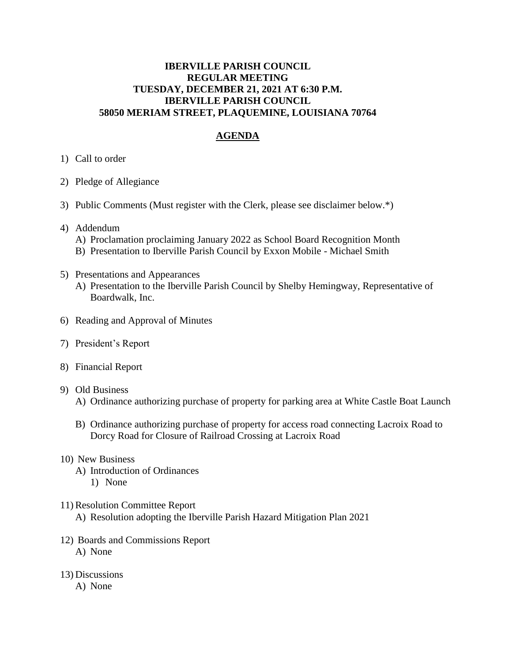## **IBERVILLE PARISH COUNCIL REGULAR MEETING TUESDAY, DECEMBER 21, 2021 AT 6:30 P.M. IBERVILLE PARISH COUNCIL 58050 MERIAM STREET, PLAQUEMINE, LOUISIANA 70764**

# **AGENDA**

### 1) Call to order

- 2) Pledge of Allegiance
- 3) Public Comments (Must register with the Clerk, please see disclaimer below.\*)
- 4) Addendum
	- A) Proclamation proclaiming January 2022 as School Board Recognition Month
	- B) Presentation to Iberville Parish Council by Exxon Mobile Michael Smith
- 5) Presentations and Appearances
	- A) Presentation to the Iberville Parish Council by Shelby Hemingway, Representative of Boardwalk, Inc.
- 6) Reading and Approval of Minutes
- 7) President's Report
- 8) Financial Report
- 9) Old Business
	- A) Ordinance authorizing purchase of property for parking area at White Castle Boat Launch
	- B) Ordinance authorizing purchase of property for access road connecting Lacroix Road to Dorcy Road for Closure of Railroad Crossing at Lacroix Road

#### 10) New Business

- A) Introduction of Ordinances
	- 1) None
- 11) Resolution Committee Report
	- A) Resolution adopting the Iberville Parish Hazard Mitigation Plan 2021
- 12) Boards and Commissions Report A) None
- 13) Discussions
	- A) None